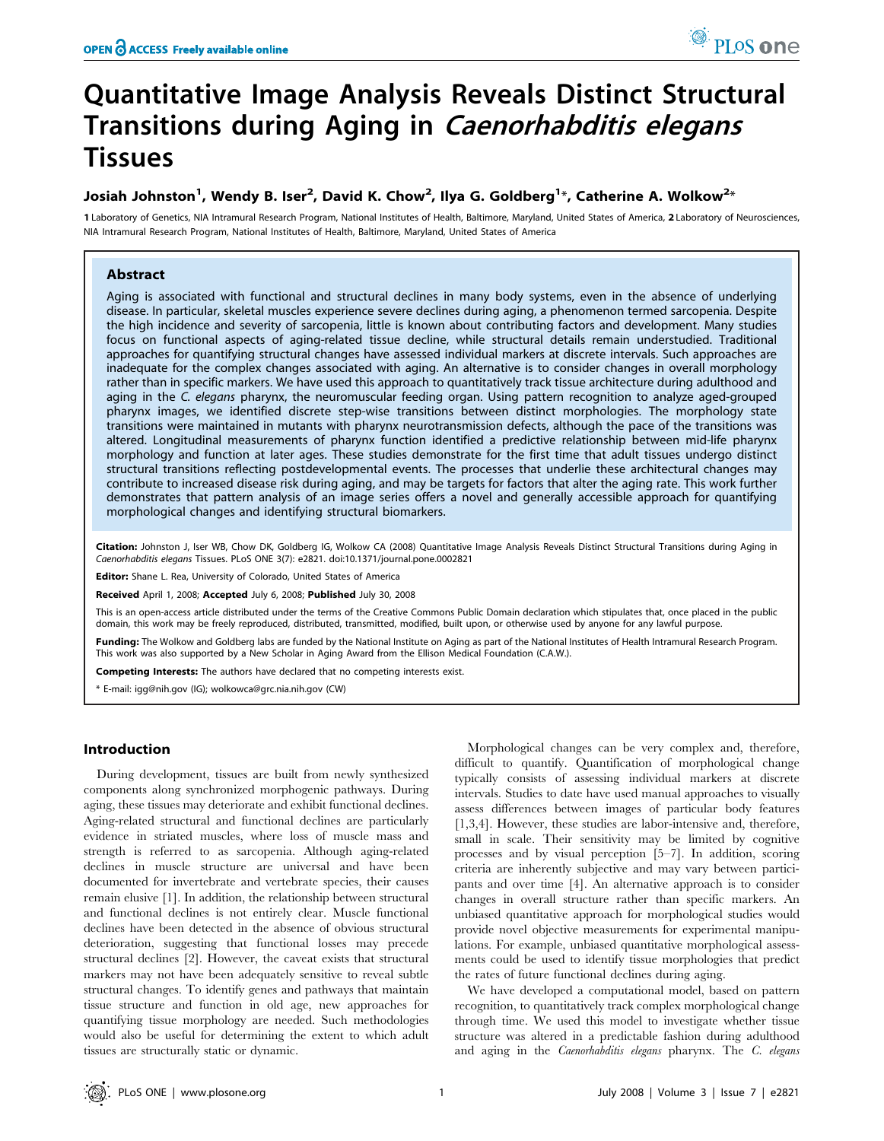# Quantitative Image Analysis Reveals Distinct Structural Transitions during Aging in Caenorhabditis elegans Tissues

## Josiah Johnston $^1$ , Wendy B. Iser $^2$ , David K. Chow $^2$ , Ilya G. Goldberg $^{1\ast}$ , Catherine A. Wolkow $^{2\ast}$

1 Laboratory of Genetics, NIA Intramural Research Program, National Institutes of Health, Baltimore, Maryland, United States of America, 2 Laboratory of Neurosciences, NIA Intramural Research Program, National Institutes of Health, Baltimore, Maryland, United States of America

## Abstract

Aging is associated with functional and structural declines in many body systems, even in the absence of underlying disease. In particular, skeletal muscles experience severe declines during aging, a phenomenon termed sarcopenia. Despite the high incidence and severity of sarcopenia, little is known about contributing factors and development. Many studies focus on functional aspects of aging-related tissue decline, while structural details remain understudied. Traditional approaches for quantifying structural changes have assessed individual markers at discrete intervals. Such approaches are inadequate for the complex changes associated with aging. An alternative is to consider changes in overall morphology rather than in specific markers. We have used this approach to quantitatively track tissue architecture during adulthood and aging in the C. elegans pharynx, the neuromuscular feeding organ. Using pattern recognition to analyze aged-grouped pharynx images, we identified discrete step-wise transitions between distinct morphologies. The morphology state transitions were maintained in mutants with pharynx neurotransmission defects, although the pace of the transitions was altered. Longitudinal measurements of pharynx function identified a predictive relationship between mid-life pharynx morphology and function at later ages. These studies demonstrate for the first time that adult tissues undergo distinct structural transitions reflecting postdevelopmental events. The processes that underlie these architectural changes may contribute to increased disease risk during aging, and may be targets for factors that alter the aging rate. This work further demonstrates that pattern analysis of an image series offers a novel and generally accessible approach for quantifying morphological changes and identifying structural biomarkers.

Citation: Johnston J, Iser WB, Chow DK, Goldberg IG, Wolkow CA (2008) Quantitative Image Analysis Reveals Distinct Structural Transitions during Aging in Caenorhabditis elegans Tissues. PLoS ONE 3(7): e2821. doi:10.1371/journal.pone.0002821

Editor: Shane L. Rea, University of Colorado, United States of America

Received April 1, 2008; Accepted July 6, 2008; Published July 30, 2008

This is an open-access article distributed under the terms of the Creative Commons Public Domain declaration which stipulates that, once placed in the public domain, this work may be freely reproduced, distributed, transmitted, modified, built upon, or otherwise used by anyone for any lawful purpose.

Funding: The Wolkow and Goldberg labs are funded by the National Institute on Aging as part of the National Institutes of Health Intramural Research Program. This work was also supported by a New Scholar in Aging Award from the Ellison Medical Foundation (C.A.W.).

Competing Interests: The authors have declared that no competing interests exist.

\* E-mail: igg@nih.gov (IG); wolkowca@grc.nia.nih.gov (CW)

## Introduction

During development, tissues are built from newly synthesized components along synchronized morphogenic pathways. During aging, these tissues may deteriorate and exhibit functional declines. Aging-related structural and functional declines are particularly evidence in striated muscles, where loss of muscle mass and strength is referred to as sarcopenia. Although aging-related declines in muscle structure are universal and have been documented for invertebrate and vertebrate species, their causes remain elusive [1]. In addition, the relationship between structural and functional declines is not entirely clear. Muscle functional declines have been detected in the absence of obvious structural deterioration, suggesting that functional losses may precede structural declines [2]. However, the caveat exists that structural markers may not have been adequately sensitive to reveal subtle structural changes. To identify genes and pathways that maintain tissue structure and function in old age, new approaches for quantifying tissue morphology are needed. Such methodologies would also be useful for determining the extent to which adult tissues are structurally static or dynamic.

Morphological changes can be very complex and, therefore, difficult to quantify. Quantification of morphological change typically consists of assessing individual markers at discrete intervals. Studies to date have used manual approaches to visually assess differences between images of particular body features [1,3,4]. However, these studies are labor-intensive and, therefore, small in scale. Their sensitivity may be limited by cognitive processes and by visual perception [5–7]. In addition, scoring criteria are inherently subjective and may vary between participants and over time [4]. An alternative approach is to consider changes in overall structure rather than specific markers. An unbiased quantitative approach for morphological studies would provide novel objective measurements for experimental manipulations. For example, unbiased quantitative morphological assessments could be used to identify tissue morphologies that predict the rates of future functional declines during aging.

We have developed a computational model, based on pattern recognition, to quantitatively track complex morphological change through time. We used this model to investigate whether tissue structure was altered in a predictable fashion during adulthood and aging in the Caenorhabditis elegans pharynx. The C. elegans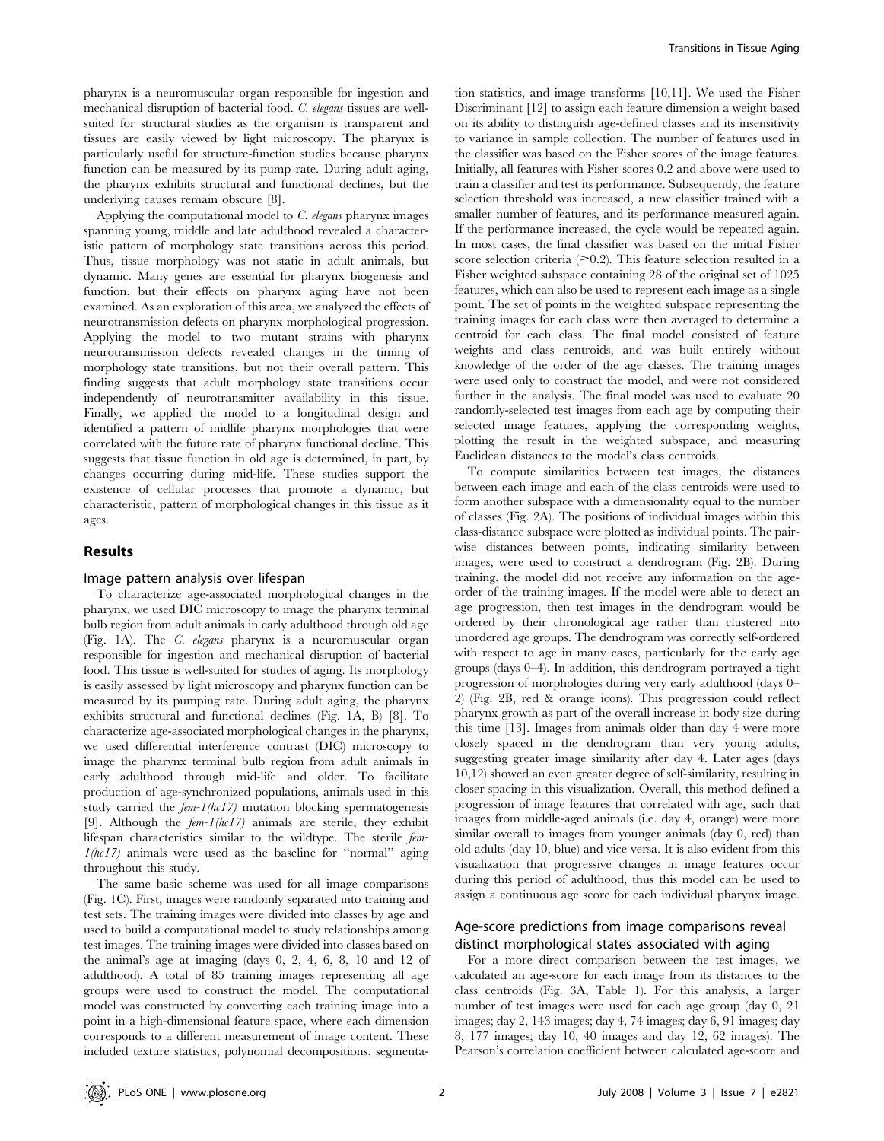pharynx is a neuromuscular organ responsible for ingestion and mechanical disruption of bacterial food. C. elegans tissues are wellsuited for structural studies as the organism is transparent and tissues are easily viewed by light microscopy. The pharynx is particularly useful for structure-function studies because pharynx function can be measured by its pump rate. During adult aging, the pharynx exhibits structural and functional declines, but the underlying causes remain obscure [8].

Applying the computational model to C. elegans pharynx images spanning young, middle and late adulthood revealed a characteristic pattern of morphology state transitions across this period. Thus, tissue morphology was not static in adult animals, but dynamic. Many genes are essential for pharynx biogenesis and function, but their effects on pharynx aging have not been examined. As an exploration of this area, we analyzed the effects of neurotransmission defects on pharynx morphological progression. Applying the model to two mutant strains with pharynx neurotransmission defects revealed changes in the timing of morphology state transitions, but not their overall pattern. This finding suggests that adult morphology state transitions occur independently of neurotransmitter availability in this tissue. Finally, we applied the model to a longitudinal design and identified a pattern of midlife pharynx morphologies that were correlated with the future rate of pharynx functional decline. This suggests that tissue function in old age is determined, in part, by changes occurring during mid-life. These studies support the existence of cellular processes that promote a dynamic, but characteristic, pattern of morphological changes in this tissue as it ages.

## Results

#### Image pattern analysis over lifespan

To characterize age-associated morphological changes in the pharynx, we used DIC microscopy to image the pharynx terminal bulb region from adult animals in early adulthood through old age (Fig. 1A). The C. elegans pharynx is a neuromuscular organ responsible for ingestion and mechanical disruption of bacterial food. This tissue is well-suited for studies of aging. Its morphology is easily assessed by light microscopy and pharynx function can be measured by its pumping rate. During adult aging, the pharynx exhibits structural and functional declines (Fig. 1A, B) [8]. To characterize age-associated morphological changes in the pharynx, we used differential interference contrast (DIC) microscopy to image the pharynx terminal bulb region from adult animals in early adulthood through mid-life and older. To facilitate production of age-synchronized populations, animals used in this study carried the  $f_{em}$ -1(hc17) mutation blocking spermatogenesis [9]. Although the  $f_{em}$ - $1(hc17)$  animals are sterile, they exhibit lifespan characteristics similar to the wildtype. The sterile fem- $1(hc17)$  animals were used as the baseline for "normal" aging throughout this study.

The same basic scheme was used for all image comparisons (Fig. 1C). First, images were randomly separated into training and test sets. The training images were divided into classes by age and used to build a computational model to study relationships among test images. The training images were divided into classes based on the animal's age at imaging (days 0, 2, 4, 6, 8, 10 and 12 of adulthood). A total of 85 training images representing all age groups were used to construct the model. The computational model was constructed by converting each training image into a point in a high-dimensional feature space, where each dimension corresponds to a different measurement of image content. These included texture statistics, polynomial decompositions, segmentation statistics, and image transforms [10,11]. We used the Fisher Discriminant [12] to assign each feature dimension a weight based on its ability to distinguish age-defined classes and its insensitivity to variance in sample collection. The number of features used in the classifier was based on the Fisher scores of the image features. Initially, all features with Fisher scores 0.2 and above were used to train a classifier and test its performance. Subsequently, the feature selection threshold was increased, a new classifier trained with a smaller number of features, and its performance measured again. If the performance increased, the cycle would be repeated again. In most cases, the final classifier was based on the initial Fisher score selection criteria  $(\geq 0.2)$ . This feature selection resulted in a Fisher weighted subspace containing 28 of the original set of 1025 features, which can also be used to represent each image as a single point. The set of points in the weighted subspace representing the training images for each class were then averaged to determine a centroid for each class. The final model consisted of feature weights and class centroids, and was built entirely without knowledge of the order of the age classes. The training images were used only to construct the model, and were not considered further in the analysis. The final model was used to evaluate 20 randomly-selected test images from each age by computing their selected image features, applying the corresponding weights, plotting the result in the weighted subspace, and measuring Euclidean distances to the model's class centroids.

To compute similarities between test images, the distances between each image and each of the class centroids were used to form another subspace with a dimensionality equal to the number of classes (Fig. 2A). The positions of individual images within this class-distance subspace were plotted as individual points. The pairwise distances between points, indicating similarity between images, were used to construct a dendrogram (Fig. 2B). During training, the model did not receive any information on the ageorder of the training images. If the model were able to detect an age progression, then test images in the dendrogram would be ordered by their chronological age rather than clustered into unordered age groups. The dendrogram was correctly self-ordered with respect to age in many cases, particularly for the early age groups (days 0–4). In addition, this dendrogram portrayed a tight progression of morphologies during very early adulthood (days 0– 2) (Fig. 2B, red & orange icons). This progression could reflect pharynx growth as part of the overall increase in body size during this time [13]. Images from animals older than day 4 were more closely spaced in the dendrogram than very young adults, suggesting greater image similarity after day 4. Later ages (days 10,12) showed an even greater degree of self-similarity, resulting in closer spacing in this visualization. Overall, this method defined a progression of image features that correlated with age, such that images from middle-aged animals (i.e. day 4, orange) were more similar overall to images from younger animals (day 0, red) than old adults (day 10, blue) and vice versa. It is also evident from this visualization that progressive changes in image features occur during this period of adulthood, thus this model can be used to assign a continuous age score for each individual pharynx image.

## Age-score predictions from image comparisons reveal distinct morphological states associated with aging

For a more direct comparison between the test images, we calculated an age-score for each image from its distances to the class centroids (Fig. 3A, Table 1). For this analysis, a larger number of test images were used for each age group (day 0, 21 images; day 2, 143 images; day 4, 74 images; day 6, 91 images; day 8, 177 images; day 10, 40 images and day 12, 62 images). The Pearson's correlation coefficient between calculated age-score and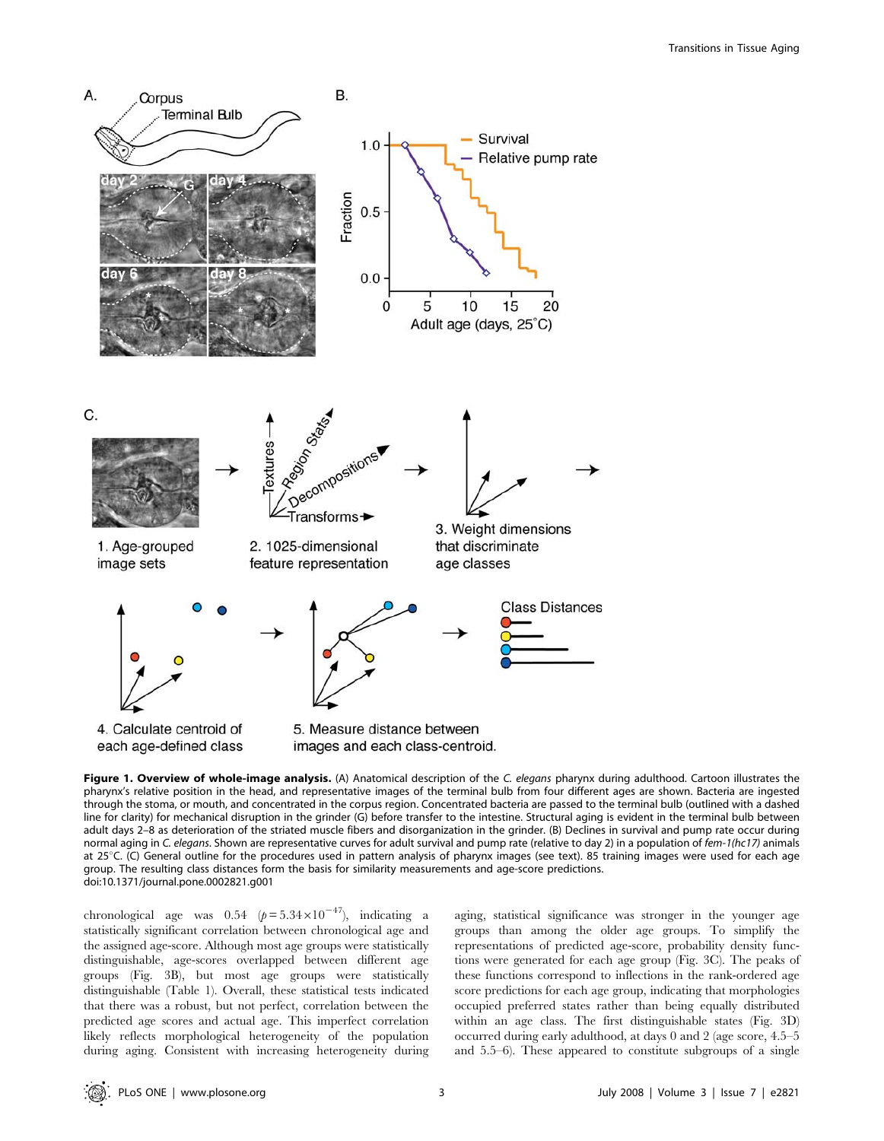

Figure 1. Overview of whole-image analysis. (A) Anatomical description of the C. elegans pharynx during adulthood. Cartoon illustrates the pharynx's relative position in the head, and representative images of the terminal bulb from four different ages are shown. Bacteria are ingested through the stoma, or mouth, and concentrated in the corpus region. Concentrated bacteria are passed to the terminal bulb (outlined with a dashed line for clarity) for mechanical disruption in the grinder (G) before transfer to the intestine. Structural aging is evident in the terminal bulb between adult days 2–8 as deterioration of the striated muscle fibers and disorganization in the grinder. (B) Declines in survival and pump rate occur during normal aging in C. elegans. Shown are representative curves for adult survival and pump rate (relative to day 2) in a population of fem-1(hc17) animals at 25°C. (C) General outline for the procedures used in pattern analysis of pharynx images (see text). 85 training images were used for each age group. The resulting class distances form the basis for similarity measurements and age-score predictions. doi:10.1371/journal.pone.0002821.g001

chronological age was  $0.54 \left( p = 5.34 \times 10^{-47} \right)$ , indicating a statistically significant correlation between chronological age and the assigned age-score. Although most age groups were statistically distinguishable, age-scores overlapped between different age groups (Fig. 3B), but most age groups were statistically distinguishable (Table 1). Overall, these statistical tests indicated that there was a robust, but not perfect, correlation between the predicted age scores and actual age. This imperfect correlation likely reflects morphological heterogeneity of the population during aging. Consistent with increasing heterogeneity during aging, statistical significance was stronger in the younger age groups than among the older age groups. To simplify the representations of predicted age-score, probability density functions were generated for each age group (Fig. 3C). The peaks of these functions correspond to inflections in the rank-ordered age score predictions for each age group, indicating that morphologies occupied preferred states rather than being equally distributed within an age class. The first distinguishable states (Fig. 3D) occurred during early adulthood, at days 0 and 2 (age score, 4.5–5 and 5.5–6). These appeared to constitute subgroups of a single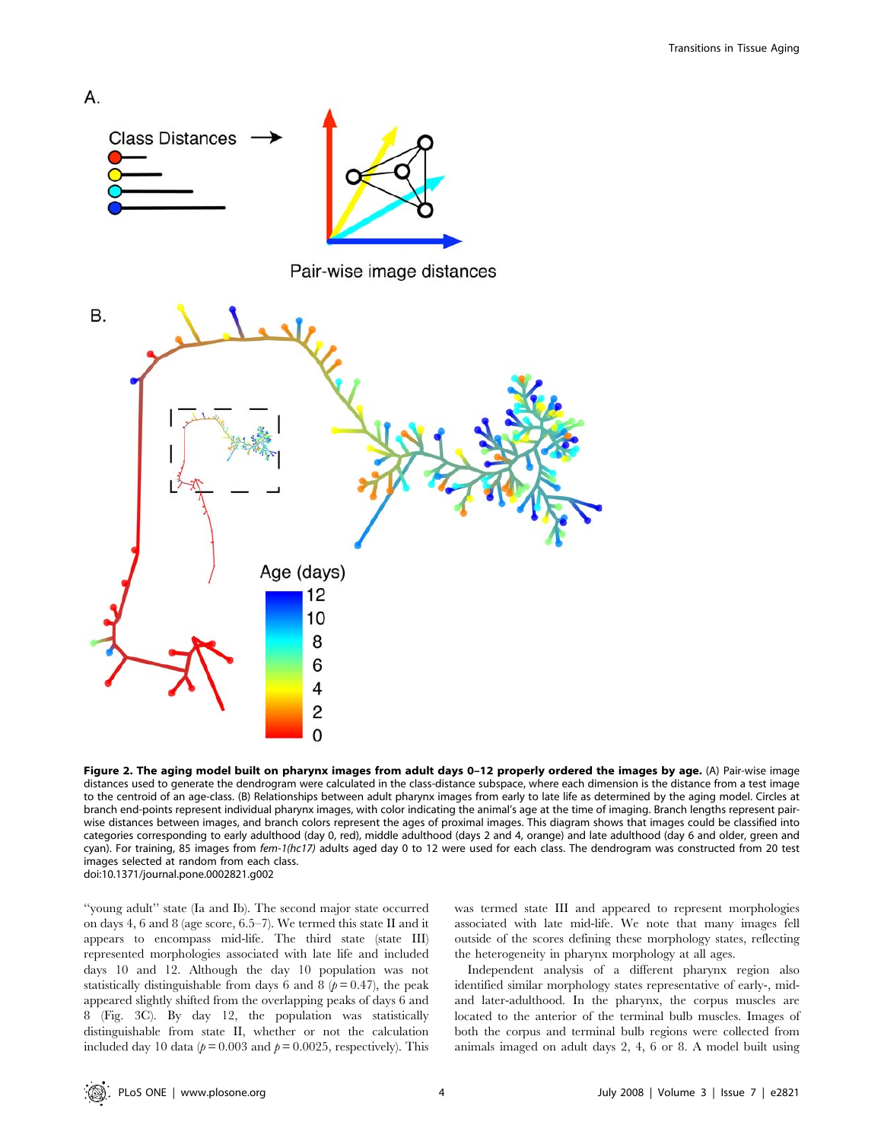

Figure 2. The aging model built on pharynx images from adult days 0-12 properly ordered the images by age. (A) Pair-wise image distances used to generate the dendrogram were calculated in the class-distance subspace, where each dimension is the distance from a test image to the centroid of an age-class. (B) Relationships between adult pharynx images from early to late life as determined by the aging model. Circles at branch end-points represent individual pharynx images, with color indicating the animal's age at the time of imaging. Branch lengths represent pairwise distances between images, and branch colors represent the ages of proximal images. This diagram shows that images could be classified into categories corresponding to early adulthood (day 0, red), middle adulthood (days 2 and 4, orange) and late adulthood (day 6 and older, green and cyan). For training, 85 images from fem-1(hc17) adults aged day 0 to 12 were used for each class. The dendrogram was constructed from 20 test images selected at random from each class. doi:10.1371/journal.pone.0002821.g002

''young adult'' state (Ia and Ib). The second major state occurred on days 4, 6 and 8 (age score, 6.5–7). We termed this state II and it appears to encompass mid-life. The third state (state III) represented morphologies associated with late life and included days 10 and 12. Although the day 10 population was not statistically distinguishable from days 6 and 8  $(p=0.47)$ , the peak appeared slightly shifted from the overlapping peaks of days 6 and 8 (Fig. 3C). By day 12, the population was statistically distinguishable from state II, whether or not the calculation included day 10 data ( $p = 0.003$  and  $p = 0.0025$ , respectively). This was termed state III and appeared to represent morphologies associated with late mid-life. We note that many images fell outside of the scores defining these morphology states, reflecting the heterogeneity in pharynx morphology at all ages.

Independent analysis of a different pharynx region also identified similar morphology states representative of early-, midand later-adulthood. In the pharynx, the corpus muscles are located to the anterior of the terminal bulb muscles. Images of both the corpus and terminal bulb regions were collected from animals imaged on adult days 2, 4, 6 or 8. A model built using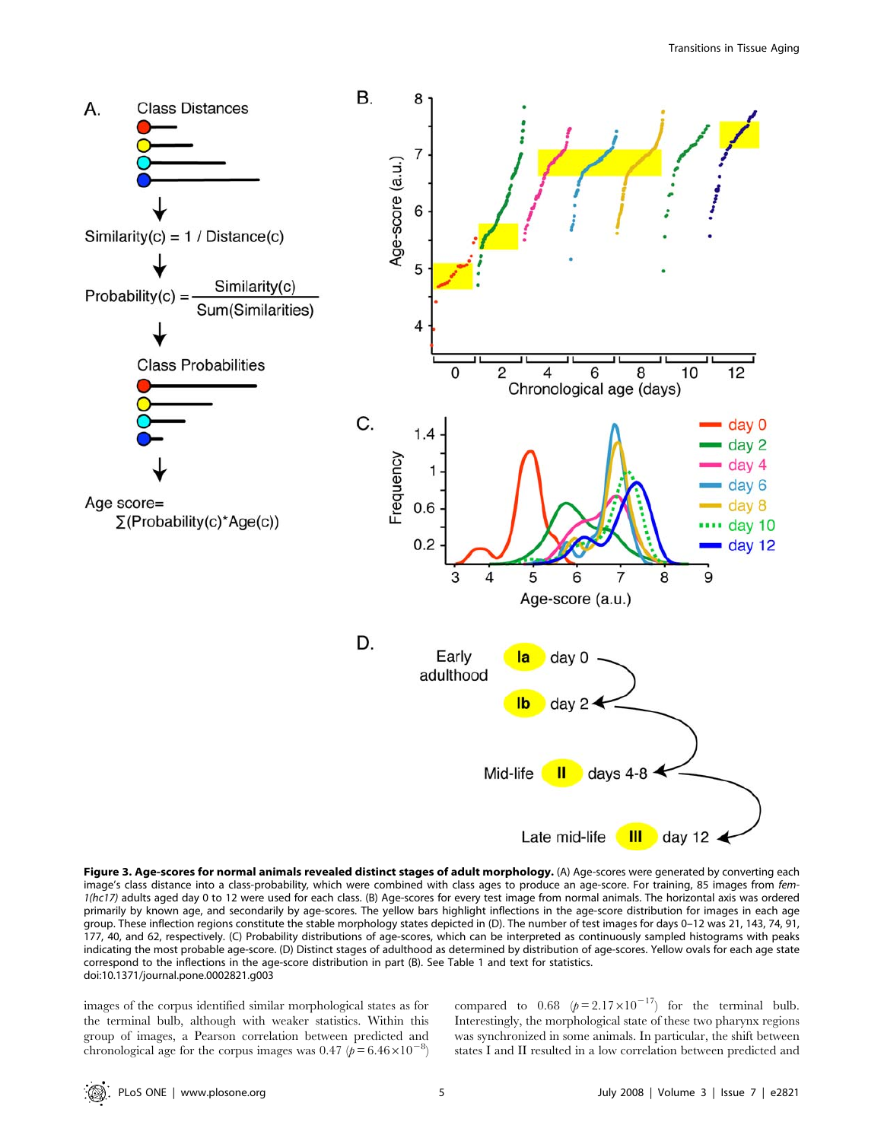

Figure 3. Age-scores for normal animals revealed distinct stages of adult morphology. (A) Age-scores were generated by converting each image's class distance into a class-probability, which were combined with class ages to produce an age-score. For training, 85 images from fem-1(hc17) adults aged day 0 to 12 were used for each class. (B) Age-scores for every test image from normal animals. The horizontal axis was ordered primarily by known age, and secondarily by age-scores. The yellow bars highlight inflections in the age-score distribution for images in each age group. These inflection regions constitute the stable morphology states depicted in (D). The number of test images for days 0–12 was 21, 143, 74, 91, 177, 40, and 62, respectively. (C) Probability distributions of age-scores, which can be interpreted as continuously sampled histograms with peaks indicating the most probable age-score. (D) Distinct stages of adulthood as determined by distribution of age-scores. Yellow ovals for each age state correspond to the inflections in the age-score distribution in part (B). See Table 1 and text for statistics. doi:10.1371/journal.pone.0002821.g003

images of the corpus identified similar morphological states as for the terminal bulb, although with weaker statistics. Within this group of images, a Pearson correlation between predicted and chronological age for the corpus images was 0.47 ( $p = 6.46 \times 10^{-8}$ )

compared to  $0.68 \left( p = 2.17 \times 10^{-17} \right)$  for the terminal bulb. Interestingly, the morphological state of these two pharynx regions was synchronized in some animals. In particular, the shift between states I and II resulted in a low correlation between predicted and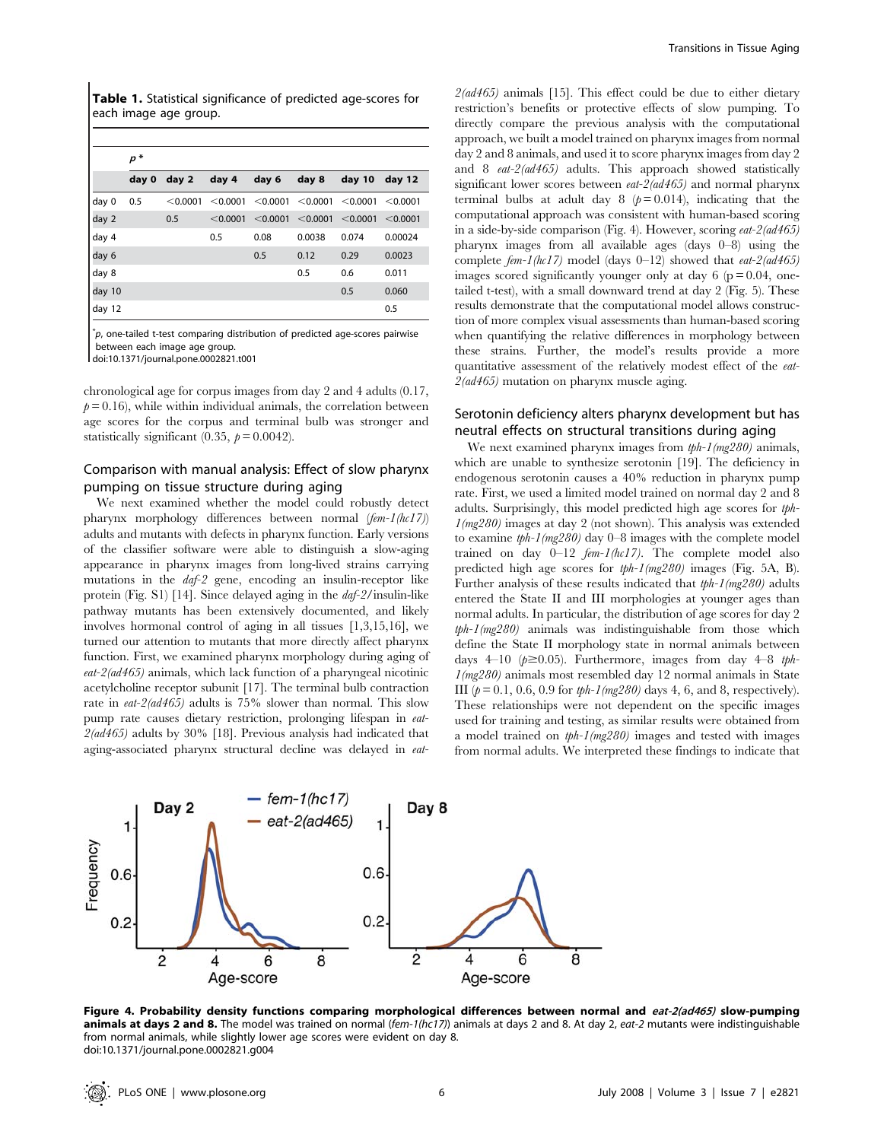Table 1. Statistical significance of predicted age-scores for each image age group.

|        | $p *$ |          |          |          |          |          |          |
|--------|-------|----------|----------|----------|----------|----------|----------|
|        | day 0 | day 2    | day 4    | day 6    | day 8    | day 10   | day 12   |
| day 0  | 0.5   | < 0.0001 | < 0.0001 | < 0.0001 | < 0.0001 | < 0.0001 | < 0.0001 |
| day 2  |       | 0.5      | < 0.0001 | < 0.0001 | < 0.0001 | < 0.0001 | < 0.0001 |
| day 4  |       |          | 0.5      | 0.08     | 0.0038   | 0.074    | 0.00024  |
| day 6  |       |          |          | 0.5      | 0.12     | 0.29     | 0.0023   |
| day 8  |       |          |          |          | 0.5      | 0.6      | 0.011    |
| day 10 |       |          |          |          |          | 0.5      | 0.060    |
| day 12 |       |          |          |          |          |          | 0.5      |

 $p^*$ p, one-tailed t-test comparing distribution of predicted age-scores pairwise between each image age group.

doi:10.1371/journal.pone.0002821.t001

chronological age for corpus images from day 2 and 4 adults (0.17,  $p = 0.16$ ), while within individual animals, the correlation between age scores for the corpus and terminal bulb was stronger and statistically significant (0.35,  $p = 0.0042$ ).

## Comparison with manual analysis: Effect of slow pharynx pumping on tissue structure during aging

We next examined whether the model could robustly detect pharynx morphology differences between normal (fem-1(hc17)) adults and mutants with defects in pharynx function. Early versions of the classifier software were able to distinguish a slow-aging appearance in pharynx images from long-lived strains carrying mutations in the daf-2 gene, encoding an insulin-receptor like protein (Fig. S1) [14]. Since delayed aging in the daf-2/insulin-like pathway mutants has been extensively documented, and likely involves hormonal control of aging in all tissues [1,3,15,16], we turned our attention to mutants that more directly affect pharynx function. First, we examined pharynx morphology during aging of  $eat-2(ad465)$  animals, which lack function of a pharyngeal nicotinic acetylcholine receptor subunit [17]. The terminal bulb contraction rate in *eat-2(ad465)* adults is 75% slower than normal. This slow pump rate causes dietary restriction, prolonging lifespan in eat- $2$ (ad $465$ ) adults by  $30\%$  [18]. Previous analysis had indicated that aging-associated pharynx structural decline was delayed in eat $2(ad465)$  animals [15]. This effect could be due to either dietary restriction's benefits or protective effects of slow pumping. To directly compare the previous analysis with the computational approach, we built a model trained on pharynx images from normal day 2 and 8 animals, and used it to score pharynx images from day 2 and 8 eat-2(ad465) adults. This approach showed statistically significant lower scores between *eat-2(ad465)* and normal pharynx terminal bulbs at adult day 8 ( $p = 0.014$ ), indicating that the computational approach was consistent with human-based scoring in a side-by-side comparison (Fig. 4). However, scoring eat-2(ad465) pharynx images from all available ages (days 0–8) using the complete  $fem-1(hc17)$  model (days 0-12) showed that  $eat-2(ad465)$ images scored significantly younger only at day  $6$  ( $p = 0.04$ , onetailed t-test), with a small downward trend at day 2 (Fig. 5). These results demonstrate that the computational model allows construction of more complex visual assessments than human-based scoring when quantifying the relative differences in morphology between these strains. Further, the model's results provide a more quantitative assessment of the relatively modest effect of the eat-2(ad465) mutation on pharynx muscle aging.

## Serotonin deficiency alters pharynx development but has neutral effects on structural transitions during aging

We next examined pharynx images from  $tph-1(mg280)$  animals, which are unable to synthesize serotonin [19]. The deficiency in endogenous serotonin causes a 40% reduction in pharynx pump rate. First, we used a limited model trained on normal day 2 and 8 adults. Surprisingly, this model predicted high age scores for tph-1(mg280) images at day 2 (not shown). This analysis was extended to examine  $tph-1(mg280)$  day 0–8 images with the complete model trained on day 0–12 fem-1(hc17). The complete model also predicted high age scores for tph-1(mg280) images (Fig. 5A, B). Further analysis of these results indicated that tph-1(mg280) adults entered the State II and III morphologies at younger ages than normal adults. In particular, the distribution of age scores for day 2 tph-1(mg280) animals was indistinguishable from those which define the State II morphology state in normal animals between days 4–10 ( $p \ge 0.05$ ). Furthermore, images from day 4–8 tph- $1$ (mg280) animals most resembled day 12 normal animals in State III  $(p = 0.1, 0.6, 0.9$  for tph-1(mg280) days 4, 6, and 8, respectively). These relationships were not dependent on the specific images used for training and testing, as similar results were obtained from a model trained on tph-1(mg280) images and tested with images from normal adults. We interpreted these findings to indicate that



Figure 4. Probability density functions comparing morphological differences between normal and eat-2(ad465) slow-pumping animals at days 2 and 8. The model was trained on normal (fem-1(hc17)) animals at days 2 and 8. At day 2, eat-2 mutants were indistinguishable from normal animals, while slightly lower age scores were evident on day 8. doi:10.1371/journal.pone.0002821.g004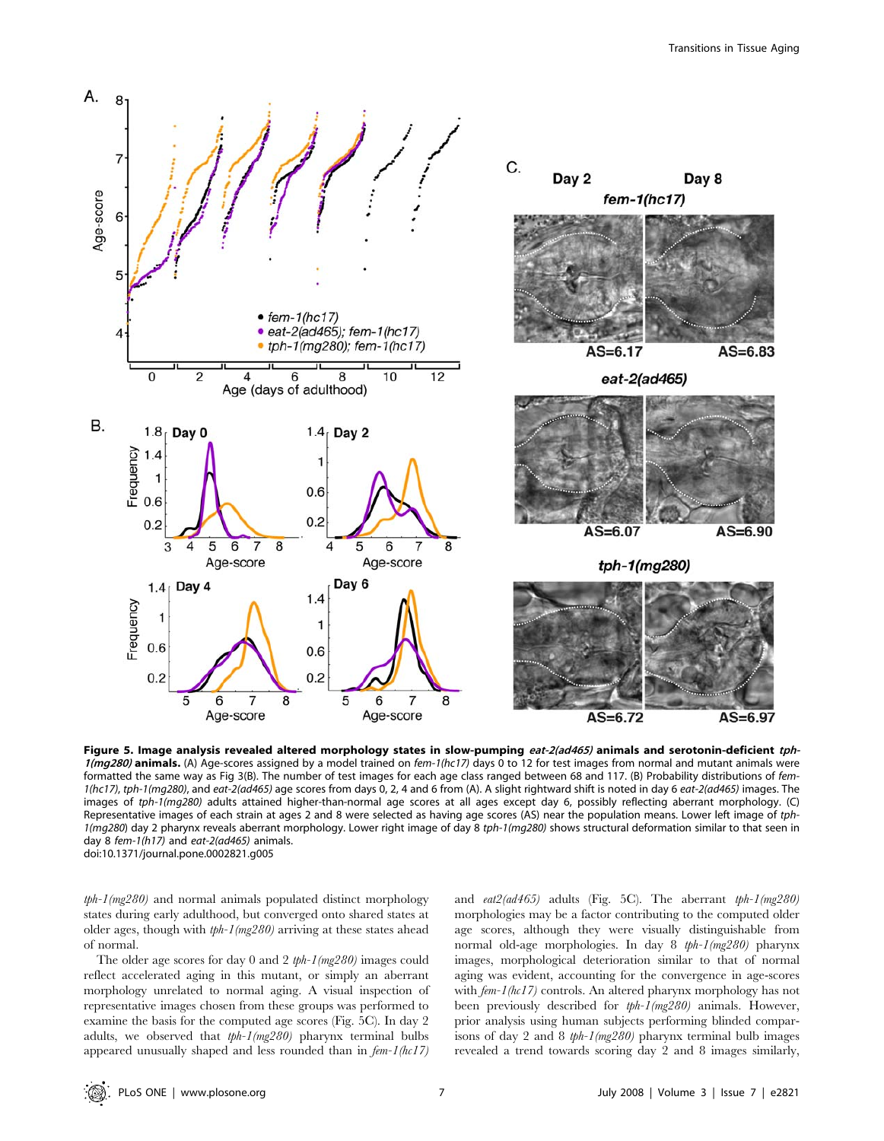

Figure 5. Image analysis revealed altered morphology states in slow-pumping eat-2(ad465) animals and serotonin-deficient tph- $1$ (mg280) animals. (A) Age-scores assigned by a model trained on fem-1(hc17) days 0 to 12 for test images from normal and mutant animals were formatted the same way as Fig 3(B). The number of test images for each age class ranged between 68 and 117. (B) Probability distributions of fem-1(hc17), tph-1(mg280), and eat-2(ad465) age scores from days 0, 2, 4 and 6 from (A). A slight rightward shift is noted in day 6 eat-2(ad465) images. The images of tph-1(mg280) adults attained higher-than-normal age scores at all ages except day 6, possibly reflecting aberrant morphology. (C) Representative images of each strain at ages 2 and 8 were selected as having age scores (AS) near the population means. Lower left image of tph-1(mg280) day 2 pharynx reveals aberrant morphology. Lower right image of day 8 tph-1(mg280) shows structural deformation similar to that seen in day 8 fem-1(h17) and eat-2(ad465) animals. doi:10.1371/journal.pone.0002821.g005

tph-1(mg280) and normal animals populated distinct morphology states during early adulthood, but converged onto shared states at older ages, though with tph-1(mg280) arriving at these states ahead of normal.

The older age scores for day 0 and 2 tph-1(mg280) images could reflect accelerated aging in this mutant, or simply an aberrant morphology unrelated to normal aging. A visual inspection of representative images chosen from these groups was performed to examine the basis for the computed age scores (Fig. 5C). In day 2 adults, we observed that tph-1(mg280) pharynx terminal bulbs appeared unusually shaped and less rounded than in  $fem-1(hc17)$  and  $eat2(ad465)$  adults (Fig. 5C). The aberrant  $tph-1(mg280)$ morphologies may be a factor contributing to the computed older age scores, although they were visually distinguishable from normal old-age morphologies. In day 8 tph-1(mg280) pharynx images, morphological deterioration similar to that of normal aging was evident, accounting for the convergence in age-scores with  $f_{em-1/hc17}$  controls. An altered pharynx morphology has not been previously described for tph-1(mg280) animals. However, prior analysis using human subjects performing blinded comparisons of day 2 and 8 tph-1(mg280) pharynx terminal bulb images revealed a trend towards scoring day 2 and 8 images similarly,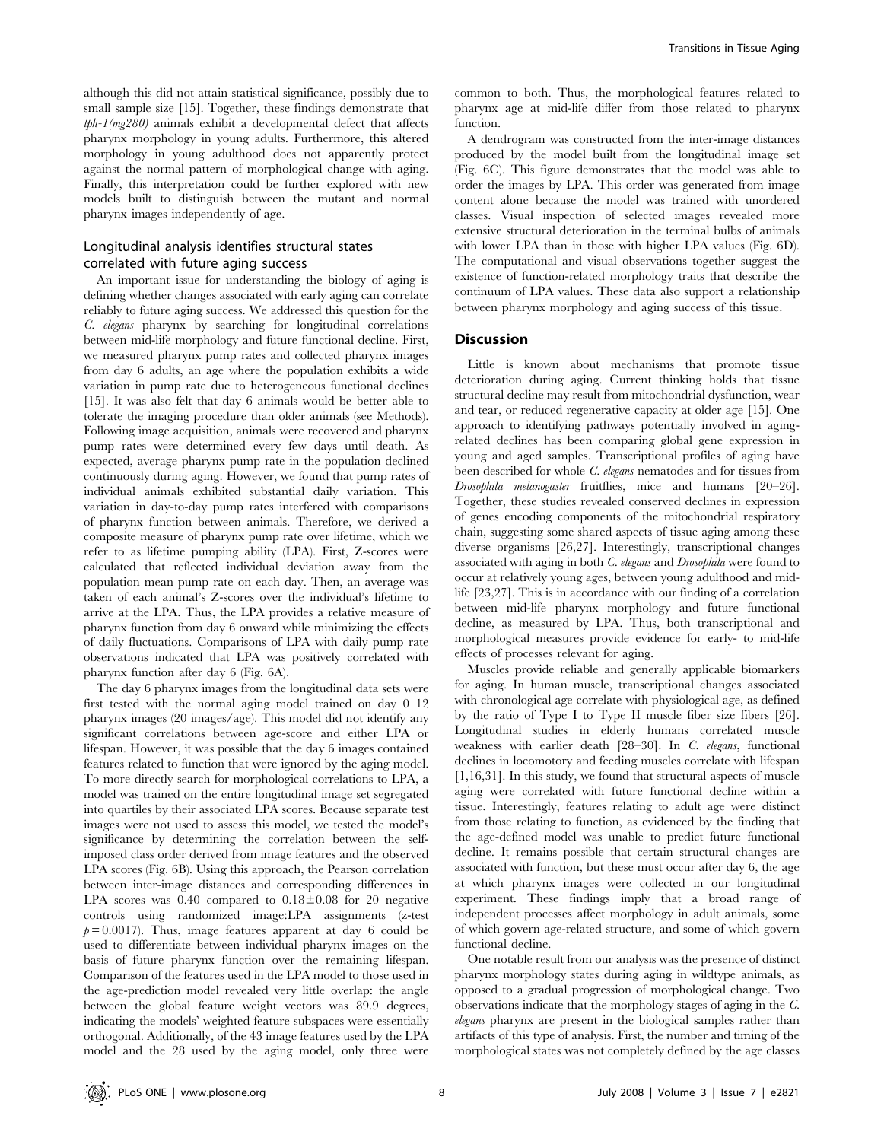although this did not attain statistical significance, possibly due to small sample size [15]. Together, these findings demonstrate that  $tph-1(mg280)$  animals exhibit a developmental defect that affects pharynx morphology in young adults. Furthermore, this altered morphology in young adulthood does not apparently protect against the normal pattern of morphological change with aging. Finally, this interpretation could be further explored with new models built to distinguish between the mutant and normal pharynx images independently of age.

## Longitudinal analysis identifies structural states correlated with future aging success

An important issue for understanding the biology of aging is defining whether changes associated with early aging can correlate reliably to future aging success. We addressed this question for the C. elegans pharynx by searching for longitudinal correlations between mid-life morphology and future functional decline. First, we measured pharynx pump rates and collected pharynx images from day 6 adults, an age where the population exhibits a wide variation in pump rate due to heterogeneous functional declines [15]. It was also felt that day 6 animals would be better able to tolerate the imaging procedure than older animals (see Methods). Following image acquisition, animals were recovered and pharynx pump rates were determined every few days until death. As expected, average pharynx pump rate in the population declined continuously during aging. However, we found that pump rates of individual animals exhibited substantial daily variation. This variation in day-to-day pump rates interfered with comparisons of pharynx function between animals. Therefore, we derived a composite measure of pharynx pump rate over lifetime, which we refer to as lifetime pumping ability (LPA). First, Z-scores were calculated that reflected individual deviation away from the population mean pump rate on each day. Then, an average was taken of each animal's Z-scores over the individual's lifetime to arrive at the LPA. Thus, the LPA provides a relative measure of pharynx function from day 6 onward while minimizing the effects of daily fluctuations. Comparisons of LPA with daily pump rate observations indicated that LPA was positively correlated with pharynx function after day 6 (Fig. 6A).

The day 6 pharynx images from the longitudinal data sets were first tested with the normal aging model trained on day 0–12 pharynx images (20 images/age). This model did not identify any significant correlations between age-score and either LPA or lifespan. However, it was possible that the day 6 images contained features related to function that were ignored by the aging model. To more directly search for morphological correlations to LPA, a model was trained on the entire longitudinal image set segregated into quartiles by their associated LPA scores. Because separate test images were not used to assess this model, we tested the model's significance by determining the correlation between the selfimposed class order derived from image features and the observed LPA scores (Fig. 6B). Using this approach, the Pearson correlation between inter-image distances and corresponding differences in LPA scores was  $0.40$  compared to  $0.18 \pm 0.08$  for 20 negative controls using randomized image:LPA assignments (z-test  $p = 0.0017$ . Thus, image features apparent at day 6 could be used to differentiate between individual pharynx images on the basis of future pharynx function over the remaining lifespan. Comparison of the features used in the LPA model to those used in the age-prediction model revealed very little overlap: the angle between the global feature weight vectors was 89.9 degrees, indicating the models' weighted feature subspaces were essentially orthogonal. Additionally, of the 43 image features used by the LPA model and the 28 used by the aging model, only three were

common to both. Thus, the morphological features related to pharynx age at mid-life differ from those related to pharynx function.

A dendrogram was constructed from the inter-image distances produced by the model built from the longitudinal image set (Fig. 6C). This figure demonstrates that the model was able to order the images by LPA. This order was generated from image content alone because the model was trained with unordered classes. Visual inspection of selected images revealed more extensive structural deterioration in the terminal bulbs of animals with lower LPA than in those with higher LPA values (Fig. 6D). The computational and visual observations together suggest the existence of function-related morphology traits that describe the continuum of LPA values. These data also support a relationship between pharynx morphology and aging success of this tissue.

## **Discussion**

Little is known about mechanisms that promote tissue deterioration during aging. Current thinking holds that tissue structural decline may result from mitochondrial dysfunction, wear and tear, or reduced regenerative capacity at older age [15]. One approach to identifying pathways potentially involved in agingrelated declines has been comparing global gene expression in young and aged samples. Transcriptional profiles of aging have been described for whole *C. elegans* nematodes and for tissues from Drosophila melanogaster fruitflies, mice and humans [20–26]. Together, these studies revealed conserved declines in expression of genes encoding components of the mitochondrial respiratory chain, suggesting some shared aspects of tissue aging among these diverse organisms [26,27]. Interestingly, transcriptional changes associated with aging in both C. elegans and Drosophila were found to occur at relatively young ages, between young adulthood and midlife [23,27]. This is in accordance with our finding of a correlation between mid-life pharynx morphology and future functional decline, as measured by LPA. Thus, both transcriptional and morphological measures provide evidence for early- to mid-life effects of processes relevant for aging.

Muscles provide reliable and generally applicable biomarkers for aging. In human muscle, transcriptional changes associated with chronological age correlate with physiological age, as defined by the ratio of Type I to Type II muscle fiber size fibers [26]. Longitudinal studies in elderly humans correlated muscle weakness with earlier death [28–30]. In C. elegans, functional declines in locomotory and feeding muscles correlate with lifespan [1,16,31]. In this study, we found that structural aspects of muscle aging were correlated with future functional decline within a tissue. Interestingly, features relating to adult age were distinct from those relating to function, as evidenced by the finding that the age-defined model was unable to predict future functional decline. It remains possible that certain structural changes are associated with function, but these must occur after day 6, the age at which pharynx images were collected in our longitudinal experiment. These findings imply that a broad range of independent processes affect morphology in adult animals, some of which govern age-related structure, and some of which govern functional decline.

One notable result from our analysis was the presence of distinct pharynx morphology states during aging in wildtype animals, as opposed to a gradual progression of morphological change. Two observations indicate that the morphology stages of aging in the C. elegans pharynx are present in the biological samples rather than artifacts of this type of analysis. First, the number and timing of the morphological states was not completely defined by the age classes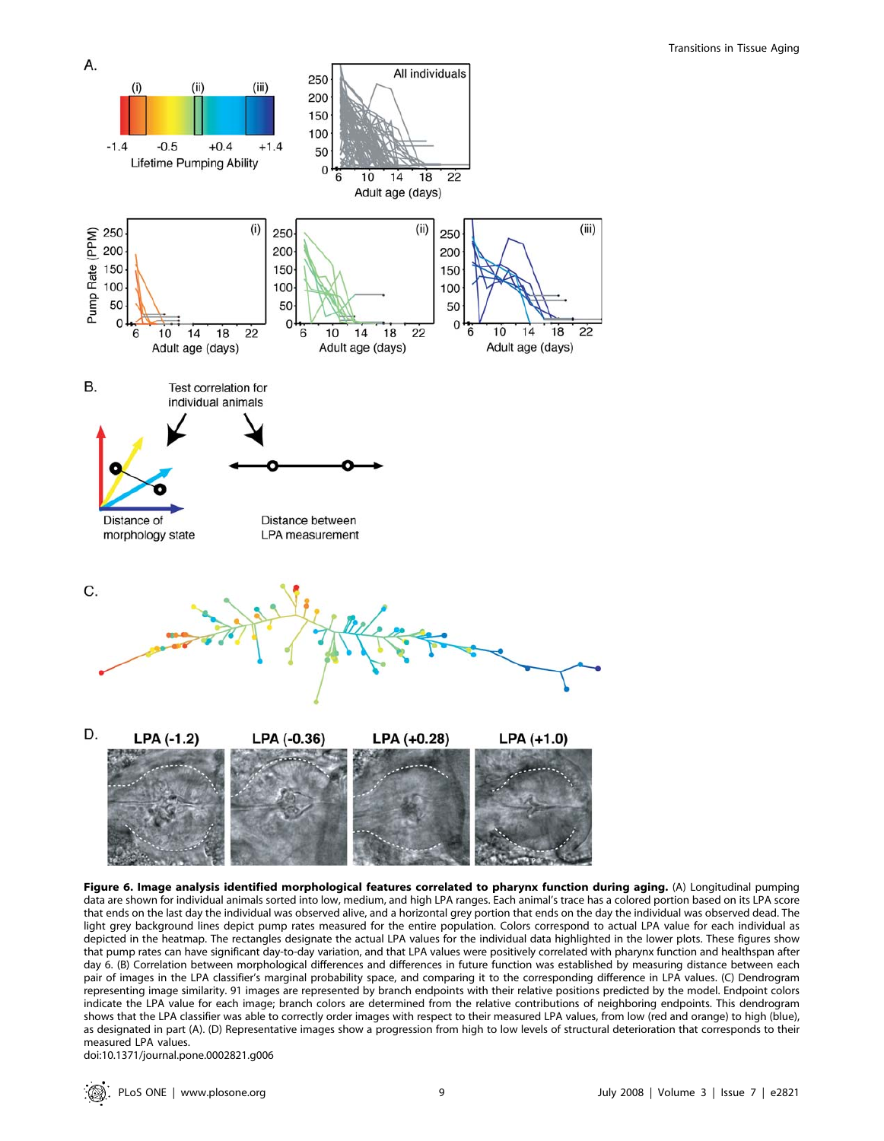

Figure 6. Image analysis identified morphological features correlated to pharynx function during aging. (A) Longitudinal pumping data are shown for individual animals sorted into low, medium, and high LPA ranges. Each animal's trace has a colored portion based on its LPA score that ends on the last day the individual was observed alive, and a horizontal grey portion that ends on the day the individual was observed dead. The light grey background lines depict pump rates measured for the entire population. Colors correspond to actual LPA value for each individual as depicted in the heatmap. The rectangles designate the actual LPA values for the individual data highlighted in the lower plots. These figures show that pump rates can have significant day-to-day variation, and that LPA values were positively correlated with pharynx function and healthspan after day 6. (B) Correlation between morphological differences and differences in future function was established by measuring distance between each pair of images in the LPA classifier's marginal probability space, and comparing it to the corresponding difference in LPA values. (C) Dendrogram representing image similarity. 91 images are represented by branch endpoints with their relative positions predicted by the model. Endpoint colors indicate the LPA value for each image; branch colors are determined from the relative contributions of neighboring endpoints. This dendrogram shows that the LPA classifier was able to correctly order images with respect to their measured LPA values, from low (red and orange) to high (blue), as designated in part (A). (D) Representative images show a progression from high to low levels of structural deterioration that corresponds to their measured LPA values.

doi:10.1371/journal.pone.0002821.g006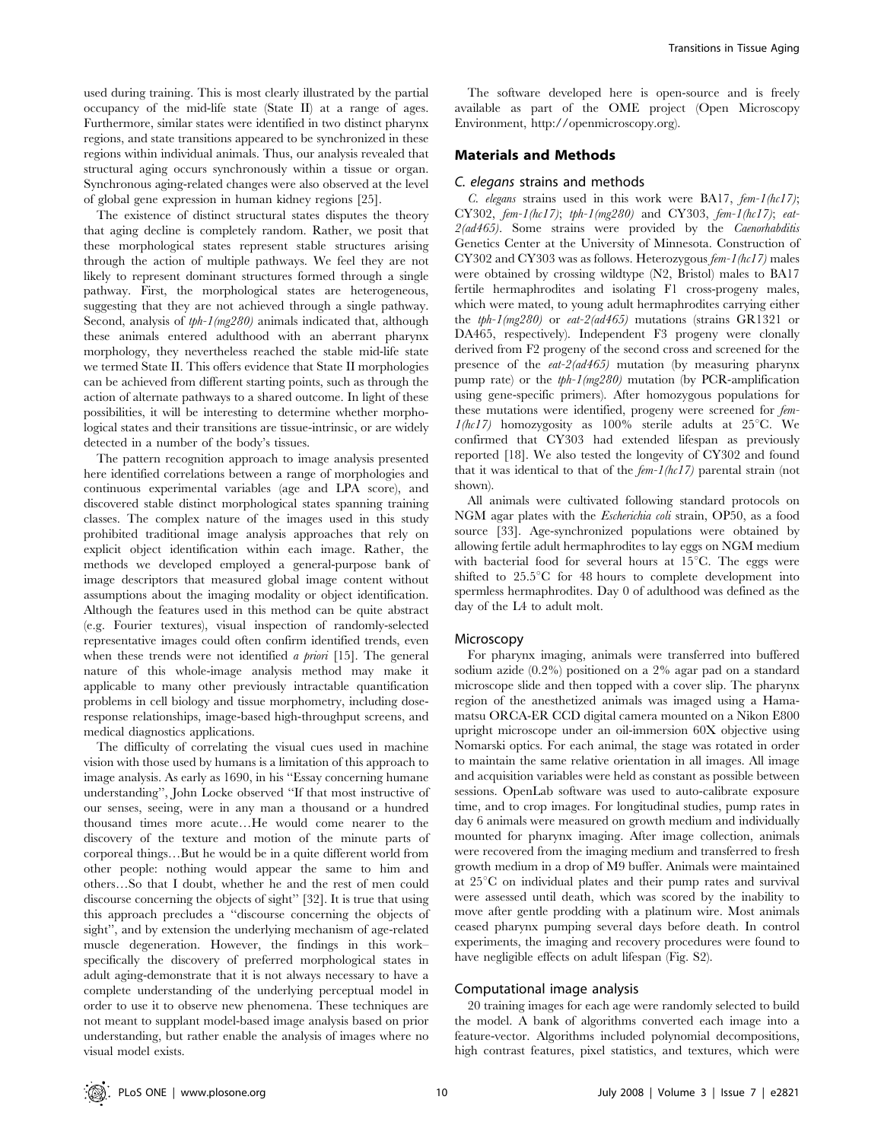used during training. This is most clearly illustrated by the partial occupancy of the mid-life state (State II) at a range of ages. Furthermore, similar states were identified in two distinct pharynx regions, and state transitions appeared to be synchronized in these regions within individual animals. Thus, our analysis revealed that structural aging occurs synchronously within a tissue or organ. Synchronous aging-related changes were also observed at the level of global gene expression in human kidney regions [25].

The existence of distinct structural states disputes the theory that aging decline is completely random. Rather, we posit that these morphological states represent stable structures arising through the action of multiple pathways. We feel they are not likely to represent dominant structures formed through a single pathway. First, the morphological states are heterogeneous, suggesting that they are not achieved through a single pathway. Second, analysis of tph-1(mg280) animals indicated that, although these animals entered adulthood with an aberrant pharynx morphology, they nevertheless reached the stable mid-life state we termed State II. This offers evidence that State II morphologies can be achieved from different starting points, such as through the action of alternate pathways to a shared outcome. In light of these possibilities, it will be interesting to determine whether morphological states and their transitions are tissue-intrinsic, or are widely detected in a number of the body's tissues.

The pattern recognition approach to image analysis presented here identified correlations between a range of morphologies and continuous experimental variables (age and LPA score), and discovered stable distinct morphological states spanning training classes. The complex nature of the images used in this study prohibited traditional image analysis approaches that rely on explicit object identification within each image. Rather, the methods we developed employed a general-purpose bank of image descriptors that measured global image content without assumptions about the imaging modality or object identification. Although the features used in this method can be quite abstract (e.g. Fourier textures), visual inspection of randomly-selected representative images could often confirm identified trends, even when these trends were not identified *a priori* [15]. The general nature of this whole-image analysis method may make it applicable to many other previously intractable quantification problems in cell biology and tissue morphometry, including doseresponse relationships, image-based high-throughput screens, and medical diagnostics applications.

The difficulty of correlating the visual cues used in machine vision with those used by humans is a limitation of this approach to image analysis. As early as 1690, in his ''Essay concerning humane understanding'', John Locke observed ''If that most instructive of our senses, seeing, were in any man a thousand or a hundred thousand times more acute…He would come nearer to the discovery of the texture and motion of the minute parts of corporeal things…But he would be in a quite different world from other people: nothing would appear the same to him and others…So that I doubt, whether he and the rest of men could discourse concerning the objects of sight'' [32]. It is true that using this approach precludes a ''discourse concerning the objects of sight'', and by extension the underlying mechanism of age-related muscle degeneration. However, the findings in this work– specifically the discovery of preferred morphological states in adult aging-demonstrate that it is not always necessary to have a complete understanding of the underlying perceptual model in order to use it to observe new phenomena. These techniques are not meant to supplant model-based image analysis based on prior understanding, but rather enable the analysis of images where no visual model exists.

The software developed here is open-source and is freely available as part of the OME project (Open Microscopy Environment, http://openmicroscopy.org).

#### Materials and Methods

#### C. elegans strains and methods

C. elegans strains used in this work were BA17,  $f_{em}$ -1(hc17); CY302, fem-1(hc17); tph-1(mg280) and CY303, fem-1(hc17); eat-2(ad465). Some strains were provided by the Caenorhabditis Genetics Center at the University of Minnesota. Construction of CY302 and CY303 was as follows. Heterozygous fem-1(hc17) males were obtained by crossing wildtype (N2, Bristol) males to BA17 fertile hermaphrodites and isolating F1 cross-progeny males, which were mated, to young adult hermaphrodites carrying either the tph-1(mg280) or eat-2(ad465) mutations (strains GR1321 or DA465, respectively). Independent F3 progeny were clonally derived from F2 progeny of the second cross and screened for the presence of the eat-2(ad465) mutation (by measuring pharynx pump rate) or the tph-1(mg280) mutation (by PCR-amplification using gene-specific primers). After homozygous populations for these mutations were identified, progeny were screened for fem- $1(hc17)$  homozygosity as 100% sterile adults at 25°C. We confirmed that CY303 had extended lifespan as previously reported [18]. We also tested the longevity of CY302 and found that it was identical to that of the  $fem-1(hc17)$  parental strain (not shown).

All animals were cultivated following standard protocols on NGM agar plates with the Escherichia coli strain, OP50, as a food source [33]. Age-synchronized populations were obtained by allowing fertile adult hermaphrodites to lay eggs on NGM medium with bacterial food for several hours at  $15^{\circ}$ C. The eggs were shifted to  $25.5^{\circ}$ C for 48 hours to complete development into spermless hermaphrodites. Day 0 of adulthood was defined as the day of the L4 to adult molt.

#### Microscopy

For pharynx imaging, animals were transferred into buffered sodium azide (0.2%) positioned on a 2% agar pad on a standard microscope slide and then topped with a cover slip. The pharynx region of the anesthetized animals was imaged using a Hamamatsu ORCA-ER CCD digital camera mounted on a Nikon E800 upright microscope under an oil-immersion 60X objective using Nomarski optics. For each animal, the stage was rotated in order to maintain the same relative orientation in all images. All image and acquisition variables were held as constant as possible between sessions. OpenLab software was used to auto-calibrate exposure time, and to crop images. For longitudinal studies, pump rates in day 6 animals were measured on growth medium and individually mounted for pharynx imaging. After image collection, animals were recovered from the imaging medium and transferred to fresh growth medium in a drop of M9 buffer. Animals were maintained at  $25^{\circ}$ C on individual plates and their pump rates and survival were assessed until death, which was scored by the inability to move after gentle prodding with a platinum wire. Most animals ceased pharynx pumping several days before death. In control experiments, the imaging and recovery procedures were found to have negligible effects on adult lifespan (Fig. S2).

## Computational image analysis

20 training images for each age were randomly selected to build the model. A bank of algorithms converted each image into a feature-vector. Algorithms included polynomial decompositions, high contrast features, pixel statistics, and textures, which were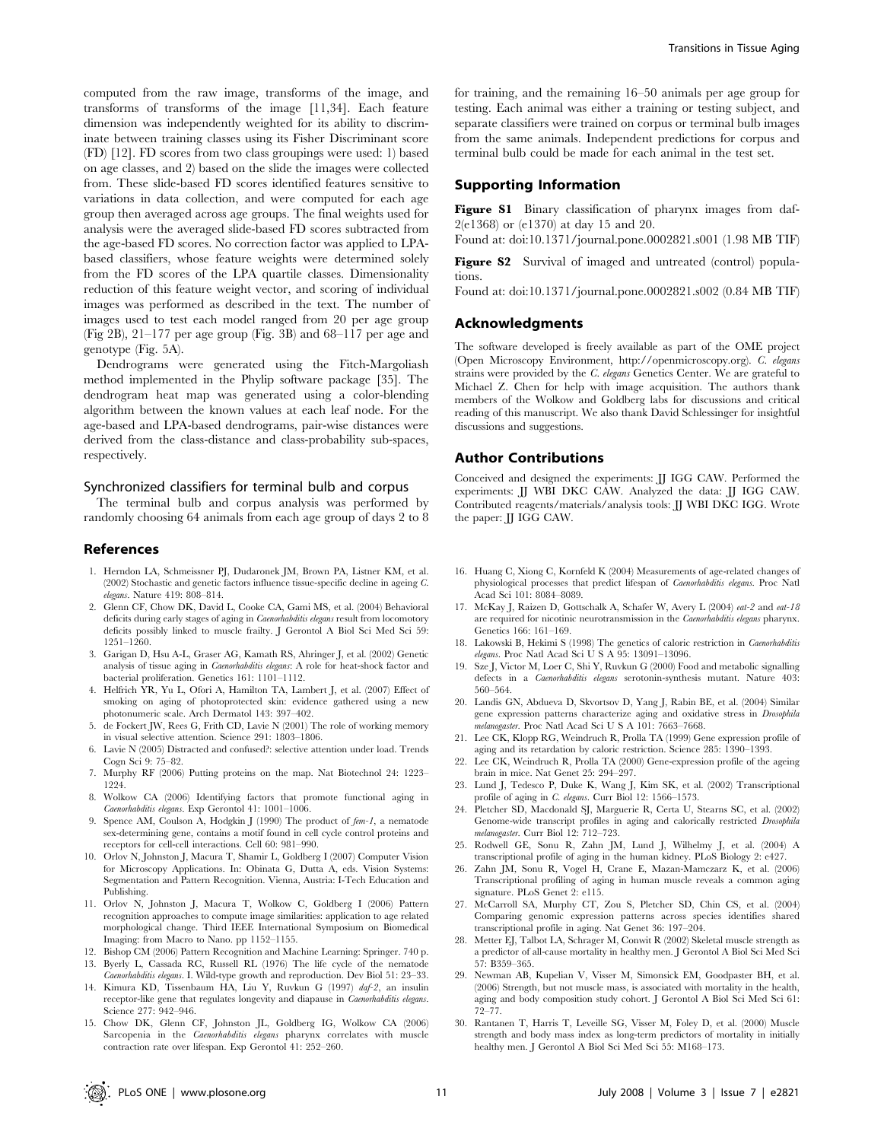computed from the raw image, transforms of the image, and transforms of transforms of the image [11,34]. Each feature dimension was independently weighted for its ability to discriminate between training classes using its Fisher Discriminant score (FD) [12]. FD scores from two class groupings were used: 1) based on age classes, and 2) based on the slide the images were collected from. These slide-based FD scores identified features sensitive to variations in data collection, and were computed for each age group then averaged across age groups. The final weights used for analysis were the averaged slide-based FD scores subtracted from the age-based FD scores. No correction factor was applied to LPAbased classifiers, whose feature weights were determined solely from the FD scores of the LPA quartile classes. Dimensionality reduction of this feature weight vector, and scoring of individual images was performed as described in the text. The number of images used to test each model ranged from 20 per age group (Fig 2B), 21–177 per age group (Fig. 3B) and 68–117 per age and genotype (Fig. 5A).

Dendrograms were generated using the Fitch-Margoliash method implemented in the Phylip software package [35]. The dendrogram heat map was generated using a color-blending algorithm between the known values at each leaf node. For the age-based and LPA-based dendrograms, pair-wise distances were derived from the class-distance and class-probability sub-spaces, respectively.

#### Synchronized classifiers for terminal bulb and corpus

The terminal bulb and corpus analysis was performed by randomly choosing 64 animals from each age group of days 2 to 8

#### References

- 1. Herndon LA, Schmeissner PJ, Dudaronek JM, Brown PA, Listner KM, et al. (2002) Stochastic and genetic factors influence tissue-specific decline in ageing C. elegans. Nature 419: 808–814.
- 2. Glenn CF, Chow DK, David L, Cooke CA, Gami MS, et al. (2004) Behavioral deficits during early stages of aging in Caenorhabditis elegans result from locomotory deficits possibly linked to muscle frailty. J Gerontol A Biol Sci Med Sci 59: 1251–1260.
- 3. Garigan D, Hsu A-L, Graser AG, Kamath RS, Ahringer J, et al. (2002) Genetic analysis of tissue aging in Caenorhabditis elegans: A role for heat-shock factor and bacterial proliferation. Genetics 161: 1101–1112.
- 4. Helfrich YR, Yu L, Ofori A, Hamilton TA, Lambert J, et al. (2007) Effect of smoking on aging of photoprotected skin: evidence gathered using a new photonumeric scale. Arch Dermatol 143: 397–402.
- 5. de Fockert JW, Rees G, Frith CD, Lavie N (2001) The role of working memory in visual selective attention. Science 291: 1803–1806.
- 6. Lavie N (2005) Distracted and confused?: selective attention under load. Trends Cogn Sci 9: 75–82.
- 7. Murphy RF (2006) Putting proteins on the map. Nat Biotechnol 24: 1223– 1224.
- 8. Wolkow CA (2006) Identifying factors that promote functional aging in Caenorhabditis elegans. Exp Gerontol 41: 1001–1006.
- 9. Spence AM, Coulson A, Hodgkin J (1990) The product of fem-1, a nematode sex-determining gene, contains a motif found in cell cycle control proteins and receptors for cell-cell interactions. Cell 60: 981–990.
- 10. Orlov N, Johnston J, Macura T, Shamir L, Goldberg I (2007) Computer Vision for Microscopy Applications. In: Obinata G, Dutta A, eds. Vision Systems: Segmentation and Pattern Recognition. Vienna, Austria: I-Tech Education and Publishing.
- 11. Orlov N, Johnston J, Macura T, Wolkow C, Goldberg I (2006) Pattern recognition approaches to compute image similarities: application to age related morphological change. Third IEEE International Symposium on Biomedical Imaging: from Macro to Nano. pp 1152–1155.
- 12. Bishop CM (2006) Pattern Recognition and Machine Learning: Springer. 740 p. 13. Byerly L, Cassada RC, Russell RL (1976) The life cycle of the nematode
- Caenorhabditis elegans. I. Wild-type growth and reproduction. Dev Biol 51: 23–33. 14. Kimura KD, Tissenbaum HA, Liu Y, Ruvkun G (1997) daf-2, an insulin
- receptor-like gene that regulates longevity and diapause in Caenorhabditis elegans. Science 277: 942–946.
- 15. Chow DK, Glenn CF, Johnston JL, Goldberg IG, Wolkow CA (2006) Sarcopenia in the *Caenorhabditis elegans* pharynx correlates with muscle contraction rate over lifespan. Exp Gerontol 41: 252–260.

for training, and the remaining 16–50 animals per age group for testing. Each animal was either a training or testing subject, and separate classifiers were trained on corpus or terminal bulb images from the same animals. Independent predictions for corpus and terminal bulb could be made for each animal in the test set.

## Supporting Information

Figure S1 Binary classification of pharynx images from daf-2(e1368) or (e1370) at day 15 and 20.

Found at: doi:10.1371/journal.pone.0002821.s001 (1.98 MB TIF)

Figure S2 Survival of imaged and untreated (control) populations.

Found at: doi:10.1371/journal.pone.0002821.s002 (0.84 MB TIF)

#### Acknowledgments

The software developed is freely available as part of the OME project (Open Microscopy Environment, http://openmicroscopy.org). C. elegans strains were provided by the C. elegans Genetics Center. We are grateful to Michael Z. Chen for help with image acquisition. The authors thank members of the Wolkow and Goldberg labs for discussions and critical reading of this manuscript. We also thank David Schlessinger for insightful discussions and suggestions.

#### Author Contributions

Conceived and designed the experiments: JJ IGG CAW. Performed the experiments: JJ WBI DKC CAW. Analyzed the data: JJ IGG CAW. Contributed reagents/materials/analysis tools: JJ WBI DKC IGG. Wrote the paper: JJ IGG CAW.

- 16. Huang C, Xiong C, Kornfeld K (2004) Measurements of age-related changes of physiological processes that predict lifespan of Caenorhabditis elegans. Proc Natl Acad Sci 101: 8084–8089.
- 17. McKay J, Raizen D, Gottschalk A, Schafer W, Avery L (2004) eat-2 and eat-18 are required for nicotinic neurotransmission in the Caenorhabditis elegans pharynx. Genetics 166: 161–169.
- 18. Lakowski B, Hekimi S (1998) The genetics of caloric restriction in Caenorhabditis elegans. Proc Natl Acad Sci U S A 95: 13091–13096.
- 19. Sze J, Victor M, Loer C, Shi Y, Ruvkun G (2000) Food and metabolic signalling defects in a Caenorhabditis elegans serotonin-synthesis mutant. Nature 403: 560–564.
- 20. Landis GN, Abdueva D, Skvortsov D, Yang J, Rabin BE, et al. (2004) Similar gene expression patterns characterize aging and oxidative stress in Drosophila melanogaster. Proc Natl Acad Sci U S A 101: 7663–7668.
- 21. Lee CK, Klopp RG, Weindruch R, Prolla TA (1999) Gene expression profile of aging and its retardation by caloric restriction. Science 285: 1390–1393.
- 22. Lee CK, Weindruch R, Prolla TA (2000) Gene-expression profile of the ageing brain in mice. Nat Genet 25: 294–297.
- 23. Lund J, Tedesco P, Duke K, Wang J, Kim SK, et al. (2002) Transcriptional profile of aging in C. elegans. Curr Biol 12: 1566-1573.
- 24. Pletcher SD, Macdonald SJ, Marguerie R, Certa U, Stearns SC, et al. (2002) Genome-wide transcript profiles in aging and calorically restricted Drosophila melanogaster. Curr Biol 12: 712–723.
- 25. Rodwell GE, Sonu R, Zahn JM, Lund J, Wilhelmy J, et al. (2004) A transcriptional profile of aging in the human kidney. PLoS Biology 2: e427.
- 26. Zahn JM, Sonu R, Vogel H, Crane E, Mazan-Mamczarz K, et al. (2006) Transcriptional profiling of aging in human muscle reveals a common aging signature. PLoS Genet 2: e115.
- 27. McCarroll SA, Murphy CT, Zou S, Pletcher SD, Chin CS, et al. (2004) Comparing genomic expression patterns across species identifies shared transcriptional profile in aging. Nat Genet 36: 197–204.
- 28. Metter EJ, Talbot LA, Schrager M, Conwit R (2002) Skeletal muscle strength as a predictor of all-cause mortality in healthy men. J Gerontol A Biol Sci Med Sci 57: B359–365.
- 29. Newman AB, Kupelian V, Visser M, Simonsick EM, Goodpaster BH, et al. (2006) Strength, but not muscle mass, is associated with mortality in the health, aging and body composition study cohort. J Gerontol A Biol Sci Med Sci 61: 72–77.
- 30. Rantanen T, Harris T, Leveille SG, Visser M, Foley D, et al. (2000) Muscle strength and body mass index as long-term predictors of mortality in initially healthy men. J Gerontol A Biol Sci Med Sci 55: M168–173.